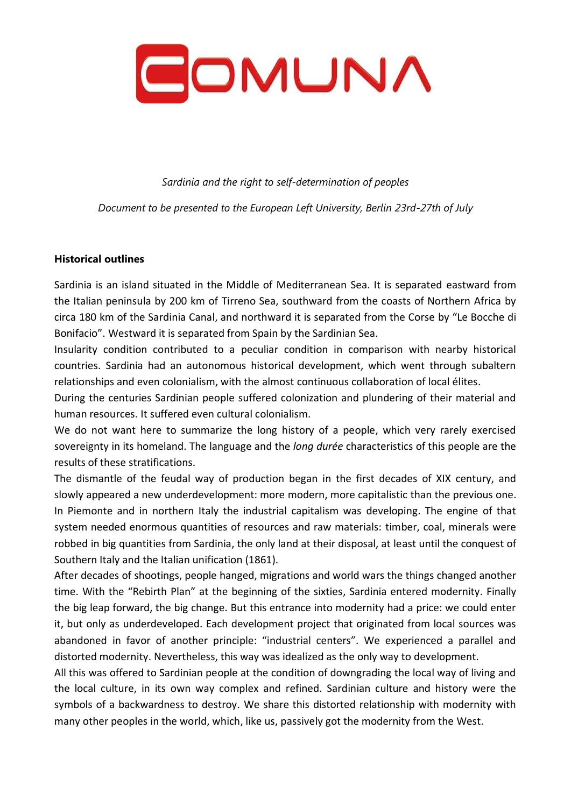

*Sardinia and the right to self-determination of peoples*

*Document to be presented to the European Left University, Berlin 23rd-27th of July*

#### **Historical outlines**

Sardinia is an island situated in the Middle of Mediterranean Sea. It is separated eastward from the Italian peninsula by 200 km of Tirreno Sea, southward from the coasts of Northern Africa by circa 180 km of the Sardinia Canal, and northward it is separated from the Corse by "Le Bocche di Bonifacio". Westward it is separated from Spain by the Sardinian Sea.

Insularity condition contributed to a peculiar condition in comparison with nearby historical countries. Sardinia had an autonomous historical development, which went through subaltern relationships and even colonialism, with the almost continuous collaboration of local élites.

During the centuries Sardinian people suffered colonization and plundering of their material and human resources. It suffered even cultural colonialism.

We do not want here to summarize the long history of a people, which very rarely exercised sovereignty in its homeland. The language and the *long durée* characteristics of this people are the results of these stratifications.

The dismantle of the feudal way of production began in the first decades of XIX century, and slowly appeared a new underdevelopment: more modern, more capitalistic than the previous one. In Piemonte and in northern Italy the industrial capitalism was developing. The engine of that system needed enormous quantities of resources and raw materials: timber, coal, minerals were robbed in big quantities from Sardinia, the only land at their disposal, at least until the conquest of Southern Italy and the Italian unification (1861).

After decades of shootings, people hanged, migrations and world wars the things changed another time. With the "Rebirth Plan" at the beginning of the sixties, Sardinia entered modernity. Finally the big leap forward, the big change. But this entrance into modernity had a price: we could enter it, but only as underdeveloped. Each development project that originated from local sources was abandoned in favor of another principle: "industrial centers". We experienced a parallel and distorted modernity. Nevertheless, this way was idealized as the only way to development.

All this was offered to Sardinian people at the condition of downgrading the local way of living and the local culture, in its own way complex and refined. Sardinian culture and history were the symbols of a backwardness to destroy. We share this distorted relationship with modernity with many other peoples in the world, which, like us, passively got the modernity from the West.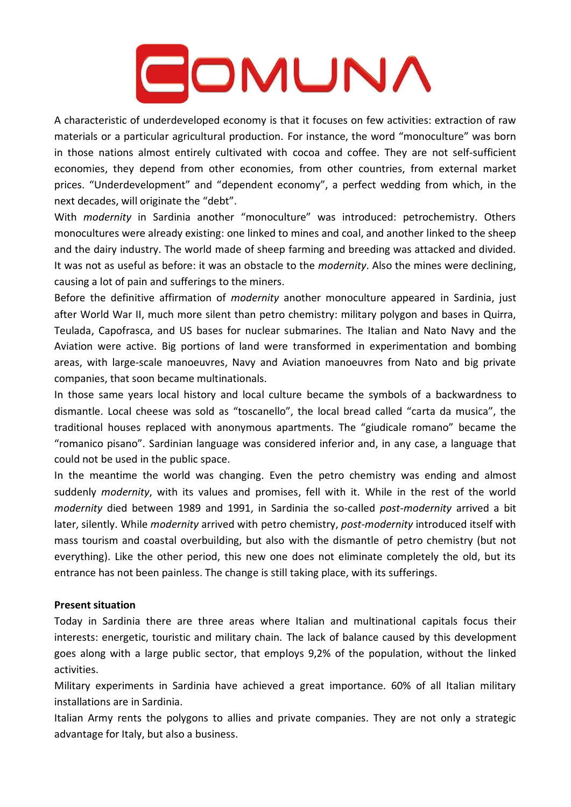### COMUNA

A characteristic of underdeveloped economy is that it focuses on few activities: extraction of raw materials or a particular agricultural production. For instance, the word "monoculture" was born in those nations almost entirely cultivated with cocoa and coffee. They are not self-sufficient economies, they depend from other economies, from other countries, from external market prices. "Underdevelopment" and "dependent economy", a perfect wedding from which, in the next decades, will originate the "debt".

With *modernity* in Sardinia another "monoculture" was introduced: petrochemistry. Others monocultures were already existing: one linked to mines and coal, and another linked to the sheep and the dairy industry. The world made of sheep farming and breeding was attacked and divided. It was not as useful as before: it was an obstacle to the *modernity*. Also the mines were declining, causing a lot of pain and sufferings to the miners.

Before the definitive affirmation of *modernity* another monoculture appeared in Sardinia, just after World War II, much more silent than petro chemistry: military polygon and bases in Quirra, Teulada, Capofrasca, and US bases for nuclear submarines. The Italian and Nato Navy and the Aviation were active. Big portions of land were transformed in experimentation and bombing areas, with large-scale manoeuvres, Navy and Aviation manoeuvres from Nato and big private companies, that soon became multinationals.

In those same years local history and local culture became the symbols of a backwardness to dismantle. Local cheese was sold as "toscanello", the local bread called "carta da musica", the traditional houses replaced with anonymous apartments. The "giudicale romano" became the "romanico pisano". Sardinian language was considered inferior and, in any case, a language that could not be used in the public space.

In the meantime the world was changing. Even the petro chemistry was ending and almost suddenly *modernity*, with its values and promises, fell with it. While in the rest of the world *modernity* died between 1989 and 1991, in Sardinia the so-called *post-modernity* arrived a bit later, silently. While *modernity* arrived with petro chemistry, *post-modernity* introduced itself with mass tourism and coastal overbuilding, but also with the dismantle of petro chemistry (but not everything). Like the other period, this new one does not eliminate completely the old, but its entrance has not been painless. The change is still taking place, with its sufferings.

#### **Present situation**

Today in Sardinia there are three areas where Italian and multinational capitals focus their interests: energetic, touristic and military chain. The lack of balance caused by this development goes along with a large public sector, that employs 9,2% of the population, without the linked activities.

Military experiments in Sardinia have achieved a great importance. 60% of all Italian military installations are in Sardinia.

Italian Army rents the polygons to allies and private companies. They are not only a strategic advantage for Italy, but also a business.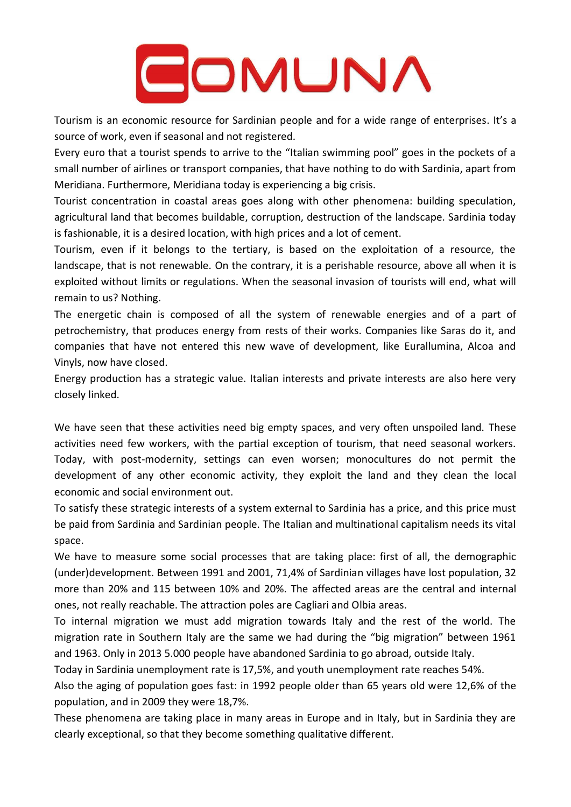# COMUNA

Tourism is an economic resource for Sardinian people and for a wide range of enterprises. It's a source of work, even if seasonal and not registered.

Every euro that a tourist spends to arrive to the "Italian swimming pool" goes in the pockets of a small number of airlines or transport companies, that have nothing to do with Sardinia, apart from Meridiana. Furthermore, Meridiana today is experiencing a big crisis.

Tourist concentration in coastal areas goes along with other phenomena: building speculation, agricultural land that becomes buildable, corruption, destruction of the landscape. Sardinia today is fashionable, it is a desired location, with high prices and a lot of cement.

Tourism, even if it belongs to the tertiary, is based on the exploitation of a resource, the landscape, that is not renewable. On the contrary, it is a perishable resource, above all when it is exploited without limits or regulations. When the seasonal invasion of tourists will end, what will remain to us? Nothing.

The energetic chain is composed of all the system of renewable energies and of a part of petrochemistry, that produces energy from rests of their works. Companies like Saras do it, and companies that have not entered this new wave of development, like Eurallumina, Alcoa and Vinyls, now have closed.

Energy production has a strategic value. Italian interests and private interests are also here very closely linked.

We have seen that these activities need big empty spaces, and very often unspoiled land. These activities need few workers, with the partial exception of tourism, that need seasonal workers. Today, with post-modernity, settings can even worsen; monocultures do not permit the development of any other economic activity, they exploit the land and they clean the local economic and social environment out.

To satisfy these strategic interests of a system external to Sardinia has a price, and this price must be paid from Sardinia and Sardinian people. The Italian and multinational capitalism needs its vital space.

We have to measure some social processes that are taking place: first of all, the demographic (under)development. Between 1991 and 2001, 71,4% of Sardinian villages have lost population, 32 more than 20% and 115 between 10% and 20%. The affected areas are the central and internal ones, not really reachable. The attraction poles are Cagliari and Olbia areas.

To internal migration we must add migration towards Italy and the rest of the world. The migration rate in Southern Italy are the same we had during the "big migration" between 1961 and 1963. Only in 2013 5.000 people have abandoned Sardinia to go abroad, outside Italy.

Today in Sardinia unemployment rate is 17,5%, and youth unemployment rate reaches 54%.

Also the aging of population goes fast: in 1992 people older than 65 years old were 12,6% of the population, and in 2009 they were 18,7%.

These phenomena are taking place in many areas in Europe and in Italy, but in Sardinia they are clearly exceptional, so that they become something qualitative different.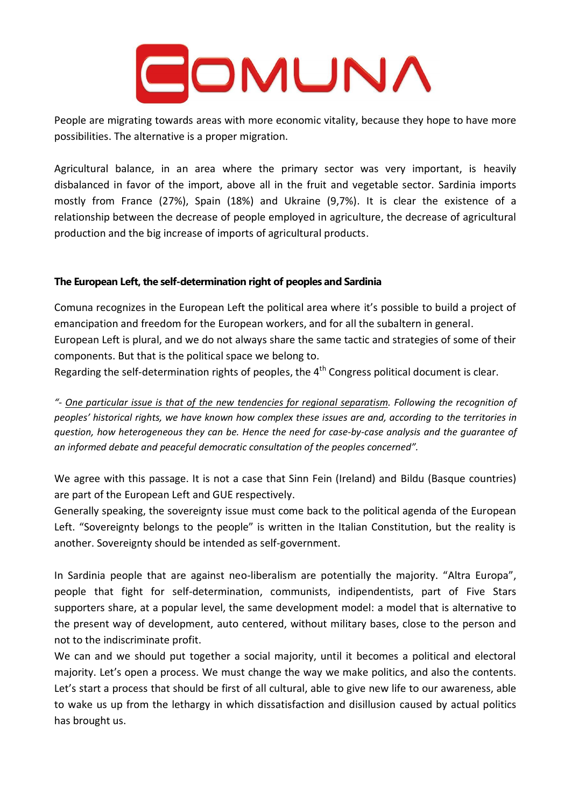# GOMUNA

People are migrating towards areas with more economic vitality, because they hope to have more possibilities. The alternative is a proper migration.

Agricultural balance, in an area where the primary sector was very important, is heavily disbalanced in favor of the import, above all in the fruit and vegetable sector. Sardinia imports mostly from France (27%), Spain (18%) and Ukraine (9,7%). It is clear the existence of a relationship between the decrease of people employed in agriculture, the decrease of agricultural production and the big increase of imports of agricultural products.

### **The European Left, the self-determination right of peoples and Sardinia**

Comuna recognizes in the European Left the political area where it's possible to build a project of emancipation and freedom for the European workers, and for all the subaltern in general. European Left is plural, and we do not always share the same tactic and strategies of some of their components. But that is the political space we belong to.

Regarding the self-determination rights of peoples, the  $4<sup>th</sup>$  Congress political document is clear.

"- One particular issue is that of the new tendencies for regional separatism. Following the recognition of peoples' historical rights, we have known how complex these issues are and, according to the territories in *question, how heterogeneous they can be. Hence the need for case-by-case analysis and the guarantee of an informed debate and peaceful democratic consultation of the peoples concerned".*

We agree with this passage. It is not a case that Sinn Fein (Ireland) and Bildu (Basque countries) are part of the European Left and GUE respectively.

Generally speaking, the sovereignty issue must come back to the political agenda of the European Left. "Sovereignty belongs to the people" is written in the Italian Constitution, but the reality is another. Sovereignty should be intended as self-government.

In Sardinia people that are against neo-liberalism are potentially the majority. "Altra Europa", people that fight for self-determination, communists, indipendentists, part of Five Stars supporters share, at a popular level, the same development model: a model that is alternative to the present way of development, auto centered, without military bases, close to the person and not to the indiscriminate profit.

We can and we should put together a social majority, until it becomes a political and electoral majority. Let's open a process. We must change the way we make politics, and also the contents. Let's start a process that should be first of all cultural, able to give new life to our awareness, able to wake us up from the lethargy in which dissatisfaction and disillusion caused by actual politics has brought us.